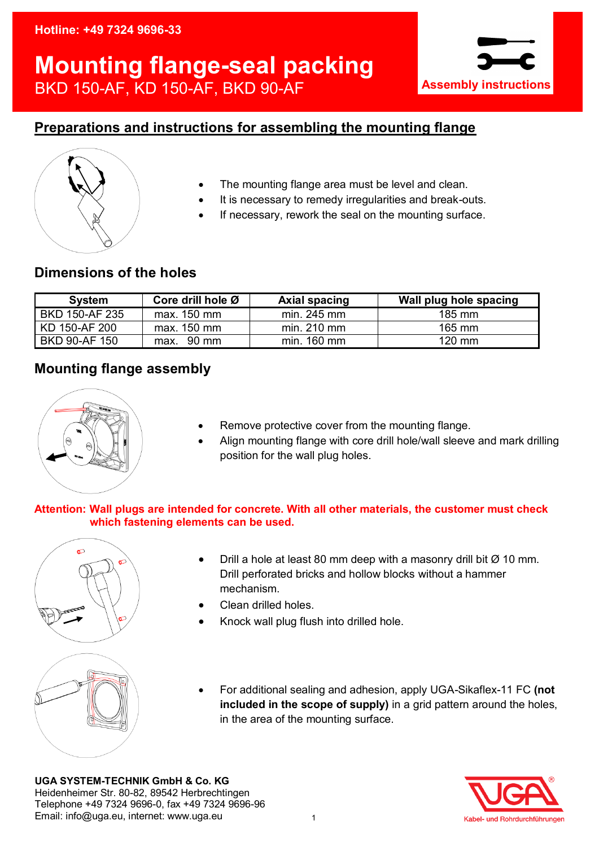### **Hotline: +49 7324 9696-33**

# **Mounting flange-seal packing** BKD 150-AF, KD 150-AF, BKD 90-AF



## **Preparations and instructions for assembling the mounting flange**



- The mounting flange area must be level and clean.
- It is necessary to remedy irregularities and break-outs.
- If necessary, rework the seal on the mounting surface.

## **Dimensions of the holes**

| <b>System</b>  | Core drill hole Ø | <b>Axial spacing</b> | Wall plug hole spacing |
|----------------|-------------------|----------------------|------------------------|
| BKD 150-AF 235 | max. 150 mm       | $min. 245$ mm        | 185 mm                 |
| KD 150-AF 200  | max. 150 mm       | $min. 210$ mm        | $165$ mm               |
| BKD 90-AF 150  | $max.$ 90 mm      | min. 160 mm          | $120$ mm               |

## **Mounting flange assembly**



- Remove protective cover from the mounting flange.
- Align mounting flange with core drill hole/wall sleeve and mark drilling position for the wall plug holes.

#### **Attention: Wall plugs are intended for concrete. With all other materials, the customer must check which fastening elements can be used.**



- Drill a hole at least 80 mm deep with a masonry drill bit  $\varnothing$  10 mm. Drill perforated bricks and hollow blocks without a hammer mechanism.
- Clean drilled holes.
- Knock wall plug flush into drilled hole.
- For additional sealing and adhesion, apply UGA-Sikaflex-11 FC **(not included in the scope of supply)** in a grid pattern around the holes, in the area of the mounting surface.

**UGA SYSTEM-TECHNIK GmbH & Co. KG**  Heidenheimer Str. 80-82, 89542 Herbrechtingen Telephone +49 7324 9696-0, fax +49 7324 9696-96 Email: info@uga.eu, internet: www.uga.eu